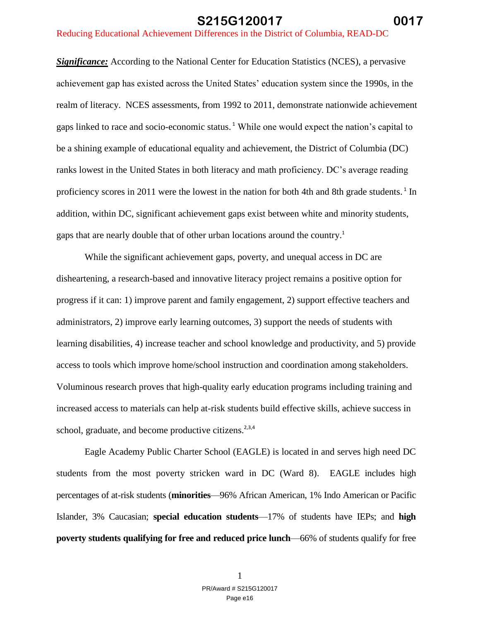*Significance:* According to the National Center for Education Statistics (NCES), a pervasive achievement gap has existed across the United States' education system since the 1990s, in the realm of literacy. NCES assessments, from 1992 to 2011, demonstrate nationwide achievement gaps linked to race and socio-economic status. <sup>1</sup> While one would expect the nation's capital to be a shining example of educational equality and achievement, the District of Columbia (DC) ranks lowest in the United States in both literacy and math proficiency. DC's average reading proficiency scores in 2011 were the lowest in the nation for both 4th and 8th grade students.<sup>1</sup> In addition, within DC, significant achievement gaps exist between white and minority students, gaps that are nearly double that of other urban locations around the country. 1

While the significant achievement gaps, poverty, and unequal access in DC are disheartening, a research-based and innovative literacy project remains a positive option for progress if it can: 1) improve parent and family engagement, 2) support effective teachers and administrators, 2) improve early learning outcomes, 3) support the needs of students with learning disabilities, 4) increase teacher and school knowledge and productivity, and 5) provide access to tools which improve home/school instruction and coordination among stakeholders. Voluminous research proves that high-quality early education programs including training and increased access to materials can help at-risk students build effective skills, achieve success in school, graduate, and become productive citizens.<sup>2,3,4</sup>

Eagle Academy Public Charter School (EAGLE) is located in and serves high need DC students from the most poverty stricken ward in DC (Ward 8). EAGLE includes high percentages of at-risk students (**minorities**—96% African American, 1% Indo American or Pacific Islander, 3% Caucasian; **special education students**—17% of students have IEPs; and **high poverty students qualifying for free and reduced price lunch**—66% of students qualify for free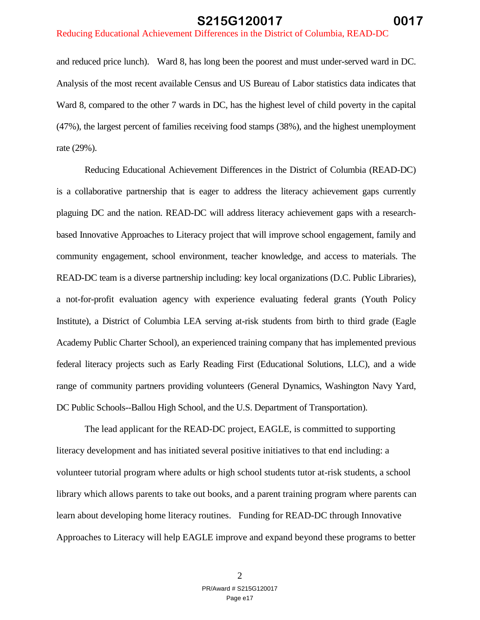and reduced price lunch). Ward 8, has long been the poorest and must under-served ward in DC. Analysis of the most recent available Census and US Bureau of Labor statistics data indicates that Ward 8, compared to the other 7 wards in DC, has the highest level of child poverty in the capital (47%), the largest percent of families receiving food stamps (38%), and the highest unemployment rate (29%).

Reducing Educational Achievement Differences in the District of Columbia (READ-DC) is a collaborative partnership that is eager to address the literacy achievement gaps currently plaguing DC and the nation. READ-DC will address literacy achievement gaps with a researchbased Innovative Approaches to Literacy project that will improve school engagement, family and community engagement, school environment, teacher knowledge, and access to materials. The READ-DC team is a diverse partnership including: key local organizations (D.C. Public Libraries), a not-for-profit evaluation agency with experience evaluating federal grants (Youth Policy Institute), a District of Columbia LEA serving at-risk students from birth to third grade (Eagle Academy Public Charter School), an experienced training company that has implemented previous federal literacy projects such as Early Reading First (Educational Solutions, LLC), and a wide range of community partners providing volunteers (General Dynamics, Washington Navy Yard, DC Public Schools--Ballou High School, and the U.S. Department of Transportation).

The lead applicant for the READ-DC project, EAGLE, is committed to supporting literacy development and has initiated several positive initiatives to that end including: a volunteer tutorial program where adults or high school students tutor at-risk students, a school library which allows parents to take out books, and a parent training program where parents can learn about developing home literacy routines. Funding for READ-DC through Innovative Approaches to Literacy will help EAGLE improve and expand beyond these programs to better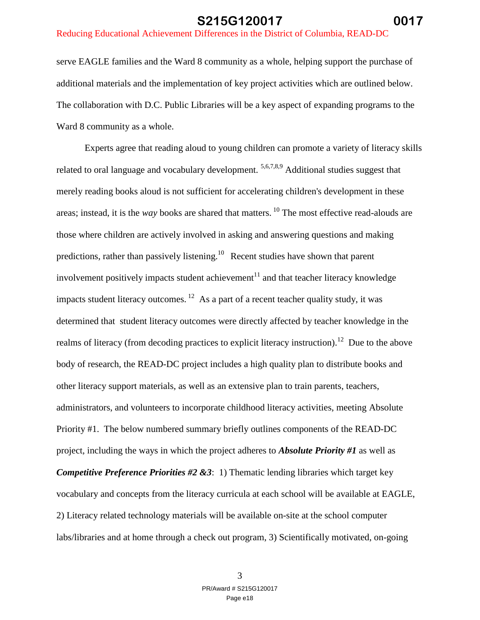#### Reducing Educational Achievement Differences in the District of Columbia, READ-DC

serve EAGLE families and the Ward 8 community as a whole, helping support the purchase of additional materials and the implementation of key project activities which are outlined below. The collaboration with D.C. Public Libraries will be a key aspect of expanding programs to the Ward 8 community as a whole.

Experts agree that reading aloud to young children can promote a variety of literacy skills related to oral language and vocabulary development. <sup>5,6,7,8,9</sup> Additional studies suggest that merely reading books aloud is not sufficient for accelerating children's development in these areas; instead, it is the *way* books are shared that matters. <sup>10</sup> The most effective read-alouds are those where children are actively involved in asking and answering questions and making predictions, rather than passively listening.<sup>10</sup> Recent studies have shown that parent involvement positively impacts student achievement $11$  and that teacher literacy knowledge impacts student literacy outcomes.  $12$  As a part of a recent teacher quality study, it was determined that student literacy outcomes were directly affected by teacher knowledge in the realms of literacy (from decoding practices to explicit literacy instruction).<sup>12</sup> Due to the above body of research, the READ-DC project includes a high quality plan to distribute books and other literacy support materials, as well as an extensive plan to train parents, teachers, administrators, and volunteers to incorporate childhood literacy activities, meeting Absolute Priority #1. The below numbered summary briefly outlines components of the READ-DC project, including the ways in which the project adheres to *Absolute Priority #1* as well as *Competitive Preference Priorities #2 &3*: 1) Thematic lending libraries which target key vocabulary and concepts from the literacy curricula at each school will be available at EAGLE, 2) Literacy related technology materials will be available on-site at the school computer labs/libraries and at home through a check out program, 3) Scientifically motivated, on-going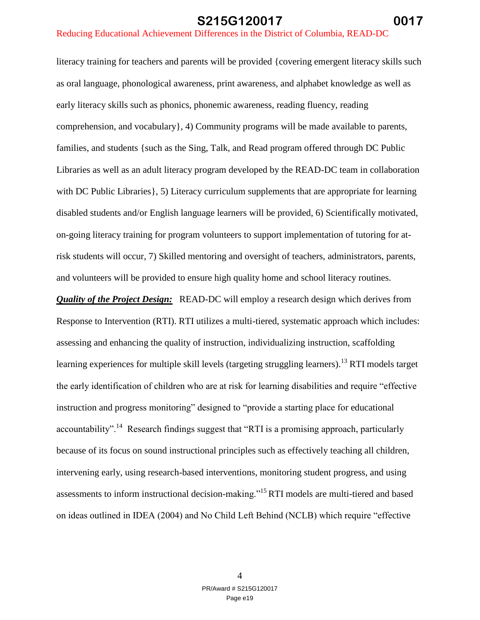literacy training for teachers and parents will be provided {covering emergent literacy skills such as oral language, phonological awareness, print awareness, and alphabet knowledge as well as early literacy skills such as phonics, phonemic awareness, reading fluency, reading comprehension, and vocabulary}, 4) Community programs will be made available to parents, families, and students {such as the Sing, Talk, and Read program offered through DC Public Libraries as well as an adult literacy program developed by the READ-DC team in collaboration with DC Public Libraries  $\}$ , 5) Literacy curriculum supplements that are appropriate for learning disabled students and/or English language learners will be provided, 6) Scientifically motivated, on-going literacy training for program volunteers to support implementation of tutoring for atrisk students will occur, 7) Skilled mentoring and oversight of teachers, administrators, parents, and volunteers will be provided to ensure high quality home and school literacy routines.

*Quality of the Project Design:* READ-DC will employ a research design which derives from Response to Intervention (RTI). RTI utilizes a multi-tiered, systematic approach which includes: assessing and enhancing the quality of instruction, individualizing instruction, scaffolding learning experiences for multiple skill levels (targeting struggling learners).<sup>13</sup> RTI models target the early identification of children who are at risk for learning disabilities and require "effective instruction and progress monitoring" designed to "provide a starting place for educational accountability".<sup>14</sup> Research findings suggest that "RTI is a promising approach, particularly because of its focus on sound instructional principles such as effectively teaching all children, intervening early, using research-based interventions, monitoring student progress, and using assessments to inform instructional decision-making."<sup>15</sup>RTI models are multi-tiered and based on ideas outlined in IDEA (2004) and No Child Left Behind (NCLB) which require "effective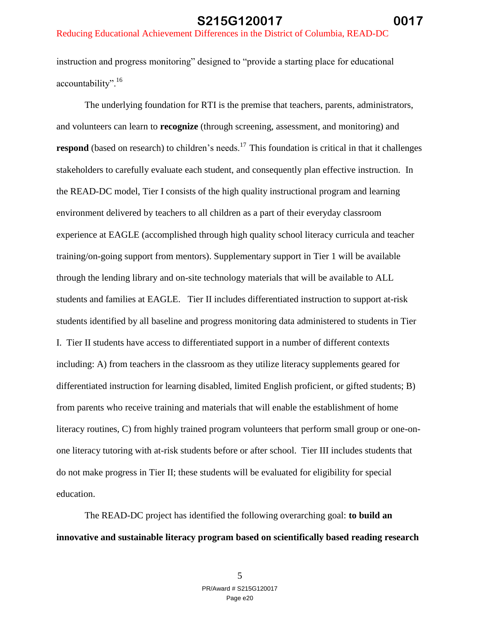instruction and progress monitoring" designed to "provide a starting place for educational accountability".<sup>16</sup>

The underlying foundation for RTI is the premise that teachers, parents, administrators, and volunteers can learn to **recognize** (through screening, assessment, and monitoring) and **respond** (based on research) to children's needs.<sup>17</sup> This foundation is critical in that it challenges stakeholders to carefully evaluate each student, and consequently plan effective instruction. In the READ-DC model, Tier I consists of the high quality instructional program and learning environment delivered by teachers to all children as a part of their everyday classroom experience at EAGLE (accomplished through high quality school literacy curricula and teacher training/on-going support from mentors). Supplementary support in Tier 1 will be available through the lending library and on-site technology materials that will be available to ALL students and families at EAGLE. Tier II includes differentiated instruction to support at-risk students identified by all baseline and progress monitoring data administered to students in Tier I. Tier II students have access to differentiated support in a number of different contexts including: A) from teachers in the classroom as they utilize literacy supplements geared for differentiated instruction for learning disabled, limited English proficient, or gifted students; B) from parents who receive training and materials that will enable the establishment of home literacy routines, C) from highly trained program volunteers that perform small group or one-onone literacy tutoring with at-risk students before or after school. Tier III includes students that do not make progress in Tier II; these students will be evaluated for eligibility for special education.

The READ-DC project has identified the following overarching goal: **to build an innovative and sustainable literacy program based on scientifically based reading research**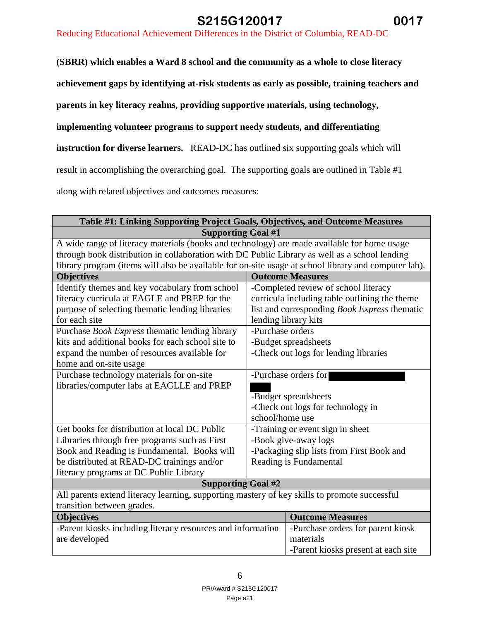#### Reducing Educational Achievement Differences in the District of Columbia, READ-DC

**(SBRR) which enables a Ward 8 school and the community as a whole to close literacy** 

**achievement gaps by identifying at-risk students as early as possible, training teachers and** 

**parents in key literacy realms, providing supportive materials, using technology,** 

**implementing volunteer programs to support needy students, and differentiating** 

**instruction for diverse learners.** READ-DC has outlined six supporting goals which will

result in accomplishing the overarching goal. The supporting goals are outlined in Table #1

along with related objectives and outcomes measures:

| Table #1: Linking Supporting Project Goals, Objectives, and Outcome Measures                         |                                           |                                               |  |
|------------------------------------------------------------------------------------------------------|-------------------------------------------|-----------------------------------------------|--|
| <b>Supporting Goal #1</b>                                                                            |                                           |                                               |  |
| A wide range of literacy materials (books and technology) are made available for home usage          |                                           |                                               |  |
| through book distribution in collaboration with DC Public Library as well as a school lending        |                                           |                                               |  |
| library program (items will also be available for on-site usage at school library and computer lab). |                                           |                                               |  |
| <b>Objectives</b>                                                                                    |                                           | <b>Outcome Measures</b>                       |  |
| Identify themes and key vocabulary from school                                                       |                                           | -Completed review of school literacy          |  |
| literacy curricula at EAGLE and PREP for the                                                         |                                           | curricula including table outlining the theme |  |
| purpose of selecting thematic lending libraries                                                      |                                           | list and corresponding Book Express thematic  |  |
| for each site                                                                                        |                                           | lending library kits                          |  |
| Purchase Book Express thematic lending library                                                       | -Purchase orders                          |                                               |  |
| kits and additional books for each school site to                                                    |                                           | -Budget spreadsheets                          |  |
| expand the number of resources available for                                                         |                                           | -Check out logs for lending libraries         |  |
| home and on-site usage                                                                               |                                           |                                               |  |
| Purchase technology materials for on-site                                                            | -Purchase orders for                      |                                               |  |
| libraries/computer labs at EAGLLE and PREP                                                           |                                           |                                               |  |
|                                                                                                      | -Budget spreadsheets                      |                                               |  |
|                                                                                                      |                                           | -Check out logs for technology in             |  |
|                                                                                                      | school/home use                           |                                               |  |
| Get books for distribution at local DC Public                                                        | -Training or event sign in sheet          |                                               |  |
| Libraries through free programs such as First                                                        | -Book give-away logs                      |                                               |  |
| Book and Reading is Fundamental. Books will                                                          | -Packaging slip lists from First Book and |                                               |  |
| be distributed at READ-DC trainings and/or                                                           | Reading is Fundamental                    |                                               |  |
| literacy programs at DC Public Library                                                               |                                           |                                               |  |
| <b>Supporting Goal #2</b>                                                                            |                                           |                                               |  |
| All parents extend literacy learning, supporting mastery of key skills to promote successful         |                                           |                                               |  |
| transition between grades.                                                                           |                                           |                                               |  |
| <b>Objectives</b>                                                                                    |                                           | <b>Outcome Measures</b>                       |  |
| -Parent kiosks including literacy resources and information                                          |                                           | -Purchase orders for parent kiosk             |  |
| are developed                                                                                        |                                           | materials                                     |  |
|                                                                                                      |                                           | -Parent kiosks present at each site           |  |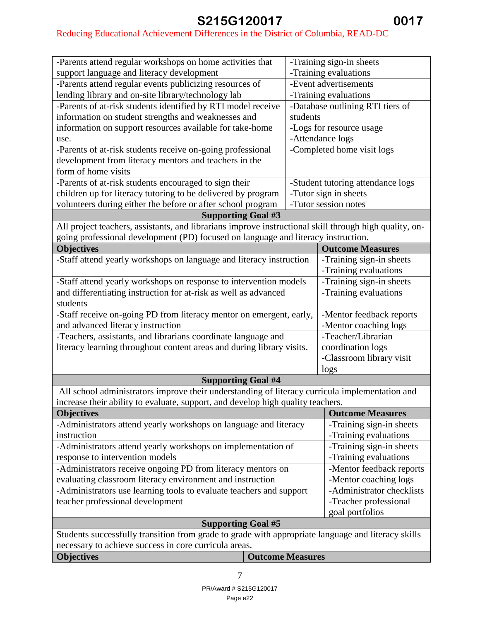# Reducing Educational Achievement Differences in the District of Columbia, READ-DC

| -Parents attend regular workshops on home activities that                                              |          | -Training sign-in sheets          |  |
|--------------------------------------------------------------------------------------------------------|----------|-----------------------------------|--|
| support language and literacy development                                                              |          | -Training evaluations             |  |
| -Parents attend regular events publicizing resources of                                                |          | -Event advertisements             |  |
| lending library and on-site library/technology lab                                                     |          | -Training evaluations             |  |
| -Parents of at-risk students identified by RTI model receive                                           |          | -Database outlining RTI tiers of  |  |
| information on student strengths and weaknesses and                                                    | students |                                   |  |
| information on support resources available for take-home                                               |          | -Logs for resource usage          |  |
| use.                                                                                                   |          | -Attendance logs                  |  |
| -Parents of at-risk students receive on-going professional                                             |          | -Completed home visit logs        |  |
| development from literacy mentors and teachers in the                                                  |          |                                   |  |
| form of home visits                                                                                    |          |                                   |  |
| -Parents of at-risk students encouraged to sign their                                                  |          | -Student tutoring attendance logs |  |
| children up for literacy tutoring to be delivered by program                                           |          | -Tutor sign in sheets             |  |
| volunteers during either the before or after school program                                            |          | -Tutor session notes              |  |
| <b>Supporting Goal #3</b>                                                                              |          |                                   |  |
| All project teachers, assistants, and librarians improve instructional skill through high quality, on- |          |                                   |  |
| going professional development (PD) focused on language and literacy instruction.                      |          |                                   |  |
|                                                                                                        |          |                                   |  |
| <b>Objectives</b>                                                                                      |          | <b>Outcome Measures</b>           |  |
| -Staff attend yearly workshops on language and literacy instruction                                    |          | -Training sign-in sheets          |  |
|                                                                                                        |          | -Training evaluations             |  |
| -Staff attend yearly workshops on response to intervention models                                      |          | -Training sign-in sheets          |  |
| and differentiating instruction for at-risk as well as advanced                                        |          | -Training evaluations             |  |
| students                                                                                               |          |                                   |  |
| -Staff receive on-going PD from literacy mentor on emergent, early,                                    |          | -Mentor feedback reports          |  |
| and advanced literacy instruction                                                                      |          | -Mentor coaching logs             |  |
| -Teachers, assistants, and librarians coordinate language and                                          |          | -Teacher/Librarian                |  |
| literacy learning throughout content areas and during library visits.                                  |          | coordination logs                 |  |
|                                                                                                        |          | -Classroom library visit          |  |
|                                                                                                        |          | logs                              |  |
| <b>Supporting Goal #4</b>                                                                              |          |                                   |  |
| All school administrators improve their understanding of literacy curricula implementation and         |          |                                   |  |
| increase their ability to evaluate, support, and develop high quality teachers.                        |          |                                   |  |
| <b>Objectives</b>                                                                                      |          | <b>Outcome Measures</b>           |  |
| -Administrators attend yearly workshops on language and literacy                                       |          | -Training sign-in sheets          |  |
| instruction                                                                                            |          | -Training evaluations             |  |
| -Administrators attend yearly workshops on implementation of                                           |          | -Training sign-in sheets          |  |
|                                                                                                        |          | -Training evaluations             |  |
| response to intervention models                                                                        |          |                                   |  |
| -Administrators receive ongoing PD from literacy mentors on                                            |          | -Mentor feedback reports          |  |
| evaluating classroom literacy environment and instruction                                              |          | -Mentor coaching logs             |  |
| -Administrators use learning tools to evaluate teachers and support                                    |          | -Administrator checklists         |  |
| teacher professional development                                                                       |          | -Teacher professional             |  |
|                                                                                                        |          | goal portfolios                   |  |
| <b>Supporting Goal #5</b>                                                                              |          |                                   |  |
| Students successfully transition from grade to grade with appropriate language and literacy skills     |          |                                   |  |
| necessary to achieve success in core curricula areas.                                                  |          |                                   |  |
| <b>Objectives</b><br><b>Outcome Measures</b>                                                           |          |                                   |  |

7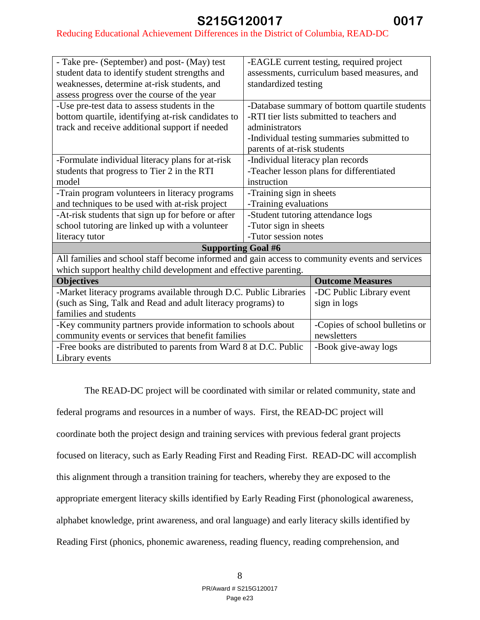#### Reducing Educational Achievement Differences in the District of Columbia, READ-DC

| - Take pre- (September) and post- (May) test                                                   |                                             | -EAGLE current testing, required project      |  |
|------------------------------------------------------------------------------------------------|---------------------------------------------|-----------------------------------------------|--|
| student data to identify student strengths and                                                 | assessments, curriculum based measures, and |                                               |  |
| weaknesses, determine at-risk students, and                                                    | standardized testing                        |                                               |  |
| assess progress over the course of the year                                                    |                                             |                                               |  |
| -Use pre-test data to assess students in the                                                   |                                             | -Database summary of bottom quartile students |  |
| bottom quartile, identifying at-risk candidates to                                             |                                             | -RTI tier lists submitted to teachers and     |  |
| track and receive additional support if needed                                                 | administrators                              |                                               |  |
|                                                                                                |                                             | -Individual testing summaries submitted to    |  |
|                                                                                                | parents of at-risk students                 |                                               |  |
| -Formulate individual literacy plans for at-risk                                               | -Individual literacy plan records           |                                               |  |
| students that progress to Tier 2 in the RTI                                                    |                                             | -Teacher lesson plans for differentiated      |  |
| model                                                                                          | instruction                                 |                                               |  |
| -Train program volunteers in literacy programs                                                 | -Training sign in sheets                    |                                               |  |
| and techniques to be used with at-risk project                                                 | -Training evaluations                       |                                               |  |
| -At-risk students that sign up for before or after                                             | -Student tutoring attendance logs           |                                               |  |
| school tutoring are linked up with a volunteer                                                 | -Tutor sign in sheets                       |                                               |  |
| literacy tutor                                                                                 | -Tutor session notes                        |                                               |  |
| <b>Supporting Goal #6</b>                                                                      |                                             |                                               |  |
| All families and school staff become informed and gain access to community events and services |                                             |                                               |  |
| which support healthy child development and effective parenting.                               |                                             |                                               |  |
| <b>Objectives</b>                                                                              |                                             | <b>Outcome Measures</b>                       |  |
| -Market literacy programs available through D.C. Public Libraries                              |                                             | -DC Public Library event                      |  |
| (such as Sing, Talk and Read and adult literacy programs) to                                   |                                             | sign in logs                                  |  |
| families and students                                                                          |                                             |                                               |  |
| -Key community partners provide information to schools about                                   |                                             | -Copies of school bulletins or                |  |
| community events or services that benefit families                                             |                                             | newsletters                                   |  |
| -Free books are distributed to parents from Ward 8 at D.C. Public                              |                                             | -Book give-away logs                          |  |
| Library events                                                                                 |                                             |                                               |  |

The READ-DC project will be coordinated with similar or related community, state and federal programs and resources in a number of ways. First, the READ-DC project will coordinate both the project design and training services with previous federal grant projects focused on literacy, such as Early Reading First and Reading First. READ-DC will accomplish this alignment through a transition training for teachers, whereby they are exposed to the appropriate emergent literacy skills identified by Early Reading First (phonological awareness, alphabet knowledge, print awareness, and oral language) and early literacy skills identified by Reading First (phonics, phonemic awareness, reading fluency, reading comprehension, and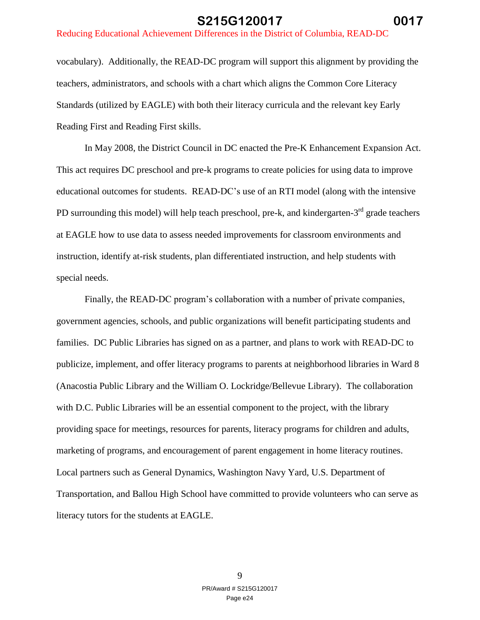#### Reducing Educational Achievement Differences in the District of Columbia, READ-DC

vocabulary). Additionally, the READ-DC program will support this alignment by providing the teachers, administrators, and schools with a chart which aligns the Common Core Literacy Standards (utilized by EAGLE) with both their literacy curricula and the relevant key Early Reading First and Reading First skills.

In May 2008, the District Council in DC enacted the Pre-K Enhancement Expansion Act. This act requires DC preschool and pre-k programs to create policies for using data to improve educational outcomes for students. READ-DC's use of an RTI model (along with the intensive PD surrounding this model) will help teach preschool, pre-k, and kindergarten-3<sup>rd</sup> grade teachers at EAGLE how to use data to assess needed improvements for classroom environments and instruction, identify at-risk students, plan differentiated instruction, and help students with special needs.

Finally, the READ-DC program's collaboration with a number of private companies, government agencies, schools, and public organizations will benefit participating students and families. DC Public Libraries has signed on as a partner, and plans to work with READ-DC to publicize, implement, and offer literacy programs to parents at neighborhood libraries in Ward 8 (Anacostia Public Library and the William O. Lockridge/Bellevue Library). The collaboration with D.C. Public Libraries will be an essential component to the project, with the library providing space for meetings, resources for parents, literacy programs for children and adults, marketing of programs, and encouragement of parent engagement in home literacy routines. Local partners such as General Dynamics, Washington Navy Yard, U.S. Department of Transportation, and Ballou High School have committed to provide volunteers who can serve as literacy tutors for the students at EAGLE.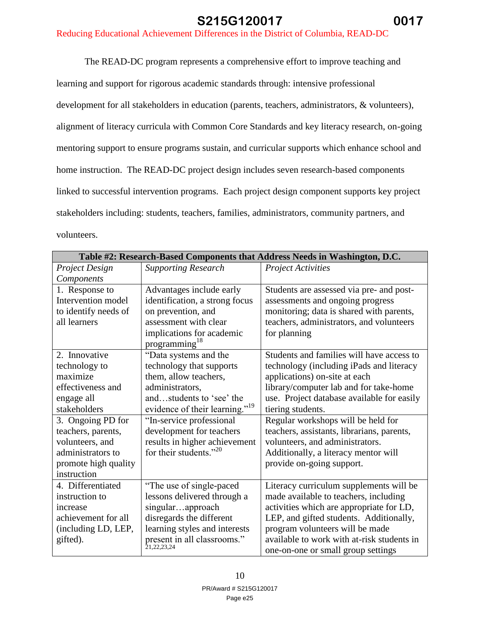The READ-DC program represents a comprehensive effort to improve teaching and learning and support for rigorous academic standards through: intensive professional development for all stakeholders in education (parents, teachers, administrators, & volunteers), alignment of literacy curricula with Common Core Standards and key literacy research, on-going mentoring support to ensure programs sustain, and curricular supports which enhance school and home instruction. The READ-DC project design includes seven research-based components linked to successful intervention programs. Each project design component supports key project stakeholders including: students, teachers, families, administrators, community partners, and volunteers.

| Table #2: Research-Based Components that Address Needs in Washington, D.C. |                                            |                                            |  |
|----------------------------------------------------------------------------|--------------------------------------------|--------------------------------------------|--|
| <b>Project Design</b>                                                      | <b>Supporting Research</b>                 | Project Activities                         |  |
| Components                                                                 |                                            |                                            |  |
| 1. Response to                                                             | Advantages include early                   | Students are assessed via pre- and post-   |  |
| Intervention model                                                         | identification, a strong focus             | assessments and ongoing progress           |  |
| to identify needs of                                                       | on prevention, and                         | monitoring; data is shared with parents,   |  |
| all learners                                                               | assessment with clear                      | teachers, administrators, and volunteers   |  |
|                                                                            | implications for academic                  | for planning                               |  |
|                                                                            | programming <sup>18</sup>                  |                                            |  |
| 2. Innovative                                                              | "Data systems and the                      | Students and families will have access to  |  |
| technology to                                                              | technology that supports                   | technology (including iPads and literacy   |  |
| maximize                                                                   | them, allow teachers,                      | applications) on-site at each              |  |
| effectiveness and                                                          | administrators,                            | library/computer lab and for take-home     |  |
| engage all                                                                 | andstudents to 'see' the                   | use. Project database available for easily |  |
| stakeholders                                                               | evidence of their learning." <sup>19</sup> | tiering students.                          |  |
| 3. Ongoing PD for                                                          | "In-service professional                   | Regular workshops will be held for         |  |
| teachers, parents,                                                         | development for teachers                   | teachers, assistants, librarians, parents, |  |
| volunteers, and                                                            | results in higher achievement              | volunteers, and administrators.            |  |
| administrators to                                                          | for their students."20                     | Additionally, a literacy mentor will       |  |
| promote high quality                                                       |                                            | provide on-going support.                  |  |
| instruction                                                                |                                            |                                            |  |
| 4. Differentiated                                                          | "The use of single-paced"                  | Literacy curriculum supplements will be    |  |
| instruction to                                                             | lessons delivered through a                | made available to teachers, including      |  |
| increase                                                                   | singularapproach                           | activities which are appropriate for LD,   |  |
| achievement for all                                                        | disregards the different                   | LEP, and gifted students. Additionally,    |  |
| (including LD, LEP,                                                        | learning styles and interests              | program volunteers will be made            |  |
| gifted).                                                                   | present in all classrooms."<br>21,22,23,24 | available to work with at-risk students in |  |
|                                                                            |                                            | one-on-one or small group settings         |  |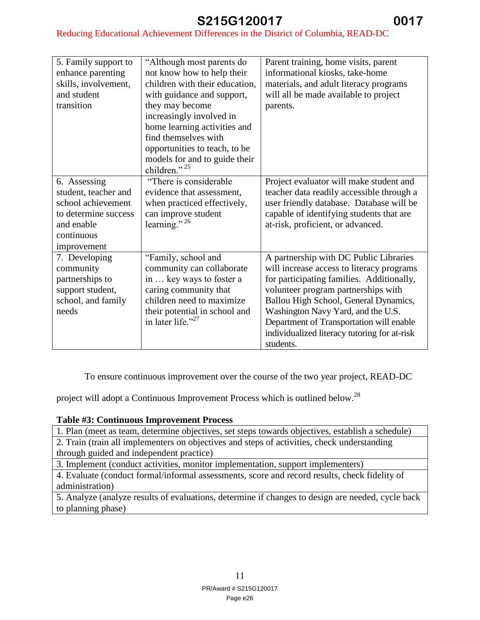#### Reducing Educational Achievement Differences in the District of Columbia, READ-DC

| 5. Family support to | "Although most parents do      | Parent training, home visits, parent         |
|----------------------|--------------------------------|----------------------------------------------|
| enhance parenting    | not know how to help their     | informational kiosks, take-home              |
| skills, involvement, | children with their education, | materials, and adult literacy programs       |
| and student          | with guidance and support,     | will all be made available to project        |
| transition           | they may become                | parents.                                     |
|                      | increasingly involved in       |                                              |
|                      | home learning activities and   |                                              |
|                      | find themselves with           |                                              |
|                      | opportunities to teach, to be  |                                              |
|                      | models for and to guide their  |                                              |
|                      | children." $^{25}$             |                                              |
| 6. Assessing         | "There is considerable         | Project evaluator will make student and      |
| student, teacher and | evidence that assessment,      | teacher data readily accessible through a    |
| school achievement   | when practiced effectively,    | user friendly database. Database will be     |
| to determine success | can improve student            | capable of identifying students that are     |
| and enable           | learning." $^{26}$             | at-risk, proficient, or advanced.            |
| continuous           |                                |                                              |
| improvement          |                                |                                              |
| 7. Developing        | "Family, school and            | A partnership with DC Public Libraries       |
| community            | community can collaborate      | will increase access to literacy programs    |
| partnerships to      | in  key ways to foster a       | for participating families. Additionally,    |
| support student,     | caring community that          | volunteer program partnerships with          |
| school, and family   | children need to maximize      | Ballou High School, General Dynamics,        |
| needs                | their potential in school and  | Washington Navy Yard, and the U.S.           |
|                      | in later life." $27$           | Department of Transportation will enable     |
|                      |                                | individualized literacy tutoring for at-risk |
|                      |                                | students.                                    |

To ensure continuous improvement over the course of the two year project, READ-DC

project will adopt a Continuous Improvement Process which is outlined below.<sup>28</sup>

#### **Table #3: Continuous Improvement Process**

1. Plan (meet as team, determine objectives, set steps towards objectives, establish a schedule)

2. Train (train all implementers on objectives and steps of activities, check understanding through guided and independent practice)

3. Implement (conduct activities, monitor implementation, support implementers)

4. Evaluate (conduct formal/informal assessments, score and record results, check fidelity of administration)

5. Analyze (analyze results of evaluations, determine if changes to design are needed, cycle back to planning phase)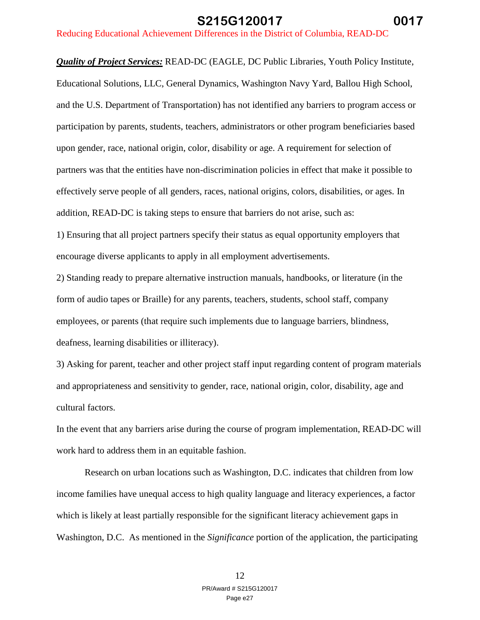*Quality of Project Services:* READ-DC (EAGLE, DC Public Libraries, Youth Policy Institute, Educational Solutions, LLC, General Dynamics, Washington Navy Yard, Ballou High School, and the U.S. Department of Transportation) has not identified any barriers to program access or participation by parents, students, teachers, administrators or other program beneficiaries based upon gender, race, national origin, color, disability or age. A requirement for selection of partners was that the entities have non-discrimination policies in effect that make it possible to effectively serve people of all genders, races, national origins, colors, disabilities, or ages. In addition, READ-DC is taking steps to ensure that barriers do not arise, such as:

1) Ensuring that all project partners specify their status as equal opportunity employers that encourage diverse applicants to apply in all employment advertisements.

2) Standing ready to prepare alternative instruction manuals, handbooks, or literature (in the form of audio tapes or Braille) for any parents, teachers, students, school staff, company employees, or parents (that require such implements due to language barriers, blindness, deafness, learning disabilities or illiteracy).

3) Asking for parent, teacher and other project staff input regarding content of program materials and appropriateness and sensitivity to gender, race, national origin, color, disability, age and cultural factors.

In the event that any barriers arise during the course of program implementation, READ-DC will work hard to address them in an equitable fashion.

Research on urban locations such as Washington, D.C. indicates that children from low income families have unequal access to high quality language and literacy experiences, a factor which is likely at least partially responsible for the significant literacy achievement gaps in Washington, D.C. As mentioned in the *Significance* portion of the application, the participating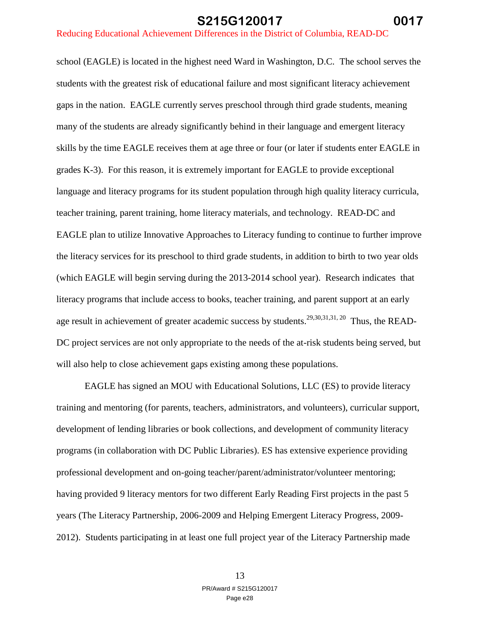school (EAGLE) is located in the highest need Ward in Washington, D.C. The school serves the students with the greatest risk of educational failure and most significant literacy achievement gaps in the nation. EAGLE currently serves preschool through third grade students, meaning many of the students are already significantly behind in their language and emergent literacy skills by the time EAGLE receives them at age three or four (or later if students enter EAGLE in grades K-3). For this reason, it is extremely important for EAGLE to provide exceptional language and literacy programs for its student population through high quality literacy curricula, teacher training, parent training, home literacy materials, and technology. READ-DC and EAGLE plan to utilize Innovative Approaches to Literacy funding to continue to further improve the literacy services for its preschool to third grade students, in addition to birth to two year olds (which EAGLE will begin serving during the 2013-2014 school year). Research indicates that literacy programs that include access to books, teacher training, and parent support at an early age result in achievement of greater academic success by students.<sup>29,30,31,31,20</sup> Thus, the READ-DC project services are not only appropriate to the needs of the at-risk students being served, but will also help to close achievement gaps existing among these populations.

EAGLE has signed an MOU with Educational Solutions, LLC (ES) to provide literacy training and mentoring (for parents, teachers, administrators, and volunteers), curricular support, development of lending libraries or book collections, and development of community literacy programs (in collaboration with DC Public Libraries). ES has extensive experience providing professional development and on-going teacher/parent/administrator/volunteer mentoring; having provided 9 literacy mentors for two different Early Reading First projects in the past 5 years (The Literacy Partnership, 2006-2009 and Helping Emergent Literacy Progress, 2009- 2012). Students participating in at least one full project year of the Literacy Partnership made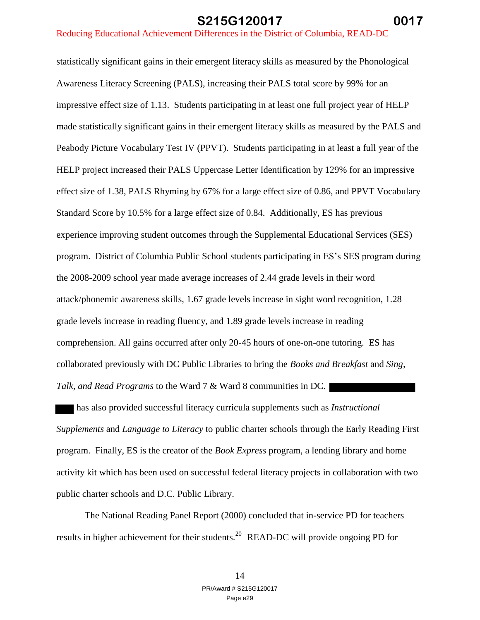statistically significant gains in their emergent literacy skills as measured by the Phonological Awareness Literacy Screening (PALS), increasing their PALS total score by 99% for an impressive effect size of 1.13. Students participating in at least one full project year of HELP made statistically significant gains in their emergent literacy skills as measured by the PALS and Peabody Picture Vocabulary Test IV (PPVT). Students participating in at least a full year of the HELP project increased their PALS Uppercase Letter Identification by 129% for an impressive effect size of 1.38, PALS Rhyming by 67% for a large effect size of 0.86, and PPVT Vocabulary Standard Score by 10.5% for a large effect size of 0.84. Additionally, ES has previous experience improving student outcomes through the Supplemental Educational Services (SES) program. District of Columbia Public School students participating in ES's SES program during the 2008-2009 school year made average increases of 2.44 grade levels in their word attack/phonemic awareness skills, 1.67 grade levels increase in sight word recognition, 1.28 grade levels increase in reading fluency, and 1.89 grade levels increase in reading comprehension. All gains occurred after only 20-45 hours of one-on-one tutoring. ES has collaborated previously with DC Public Libraries to bring the *Books and Breakfast* and *Sing, Talk, and Read Programs* to the Ward 7 & Ward 8 communities in DC.

 has also provided successful literacy curricula supplements such as *Instructional Supplements* and *Language to Literacy* to public charter schools through the Early Reading First program. Finally, ES is the creator of the *Book Express* program, a lending library and home activity kit which has been used on successful federal literacy projects in collaboration with two public charter schools and D.C. Public Library.

The National Reading Panel Report (2000) concluded that in-service PD for teachers results in higher achievement for their students.<sup>20</sup> READ-DC will provide ongoing PD for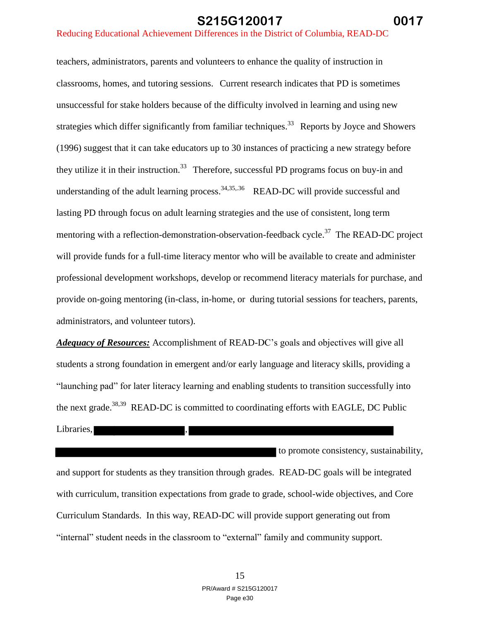teachers, administrators, parents and volunteers to enhance the quality of instruction in classrooms, homes, and tutoring sessions. Current research indicates that PD is sometimes unsuccessful for stake holders because of the difficulty involved in learning and using new strategies which differ significantly from familiar techniques.<sup>33</sup> Reports by Joyce and Showers (1996) suggest that it can take educators up to 30 instances of practicing a new strategy before they utilize it in their instruction.<sup>33</sup> Therefore, successful PD programs focus on buy-in and understanding of the adult learning process.  $34,35,36$  READ-DC will provide successful and lasting PD through focus on adult learning strategies and the use of consistent, long term mentoring with a reflection-demonstration-observation-feedback cycle.<sup>37</sup> The READ-DC project will provide funds for a full-time literacy mentor who will be available to create and administer professional development workshops, develop or recommend literacy materials for purchase, and provide on-going mentoring (in-class, in-home, or during tutorial sessions for teachers, parents, administrators, and volunteer tutors).

*Adequacy of Resources:* Accomplishment of READ-DC's goals and objectives will give all students a strong foundation in emergent and/or early language and literacy skills, providing a "launching pad" for later literacy learning and enabling students to transition successfully into the next grade.<sup>38,39</sup> READ-DC is committed to coordinating efforts with EAGLE, DC Public Libraries,

to promote consistency, sustainability, and support for students as they transition through grades. READ-DC goals will be integrated with curriculum, transition expectations from grade to grade, school-wide objectives, and Core Curriculum Standards. In this way, READ-DC will provide support generating out from "internal" student needs in the classroom to "external" family and community support.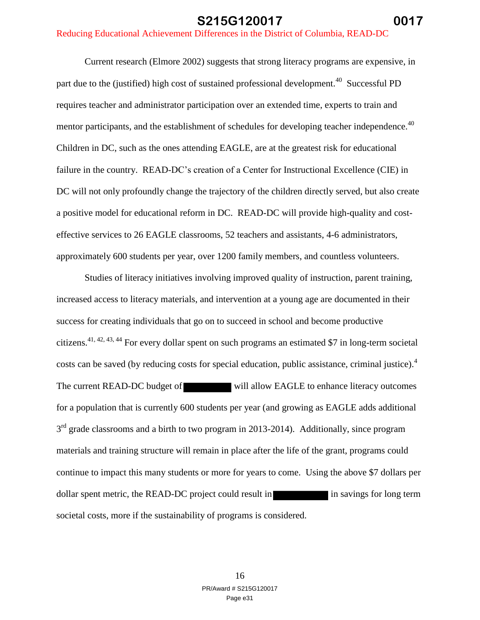Current research (Elmore 2002) suggests that strong literacy programs are expensive, in part due to the (justified) high cost of sustained professional development.<sup>40</sup> Successful PD requires teacher and administrator participation over an extended time, experts to train and mentor participants, and the establishment of schedules for developing teacher independence.<sup>40</sup> Children in DC, such as the ones attending EAGLE, are at the greatest risk for educational failure in the country. READ-DC's creation of a Center for Instructional Excellence (CIE) in DC will not only profoundly change the trajectory of the children directly served, but also create a positive model for educational reform in DC. READ-DC will provide high-quality and costeffective services to 26 EAGLE classrooms, 52 teachers and assistants, 4-6 administrators, approximately 600 students per year, over 1200 family members, and countless volunteers.

Studies of literacy initiatives involving improved quality of instruction, parent training, increased access to literacy materials, and intervention at a young age are documented in their success for creating individuals that go on to succeed in school and become productive citizens.<sup>41, 42, 43, 44</sup> For every dollar spent on such programs an estimated \$7 in long-term societal costs can be saved (by reducing costs for special education, public assistance, criminal justice).<sup>4</sup> The current READ-DC budget of will allow EAGLE to enhance literacy outcomes for a population that is currently 600 students per year (and growing as EAGLE adds additional 3<sup>rd</sup> grade classrooms and a birth to two program in 2013-2014). Additionally, since program materials and training structure will remain in place after the life of the grant, programs could continue to impact this many students or more for years to come. Using the above \$7 dollars per dollar spent metric, the READ-DC project could result in in savings for long term societal costs, more if the sustainability of programs is considered.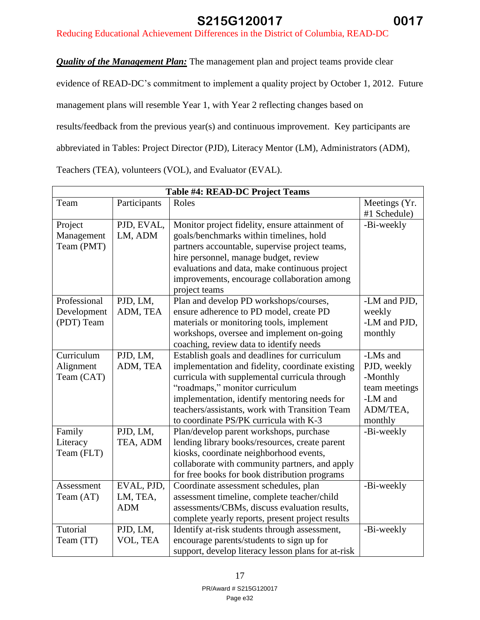# Reducing Educational Achievement Differences in the District of Columbia, READ-DC

*Quality of the Management Plan:* The management plan and project teams provide clear

evidence of READ-DC's commitment to implement a quality project by October 1, 2012. Future management plans will resemble Year 1, with Year 2 reflecting changes based on results/feedback from the previous year(s) and continuous improvement. Key participants are abbreviated in Tables: Project Director (PJD), Literacy Mentor (LM), Administrators (ADM),

Teachers (TEA), volunteers (VOL), and Evaluator (EVAL).

| <b>Table #4: READ-DC Project Teams</b> |              |                                                              |                               |
|----------------------------------------|--------------|--------------------------------------------------------------|-------------------------------|
| Team                                   | Participants | Roles                                                        | Meetings (Yr.<br>#1 Schedule) |
| Project                                | PJD, EVAL,   | Monitor project fidelity, ensure attainment of               | -Bi-weekly                    |
| Management                             | LM, ADM      | goals/benchmarks within timelines, hold                      |                               |
| Team (PMT)                             |              | partners accountable, supervise project teams,               |                               |
|                                        |              | hire personnel, manage budget, review                        |                               |
|                                        |              | evaluations and data, make continuous project                |                               |
|                                        |              | improvements, encourage collaboration among<br>project teams |                               |
| Professional                           | PJD, LM,     | Plan and develop PD workshops/courses,                       | -LM and PJD,                  |
| Development                            | ADM, TEA     | ensure adherence to PD model, create PD                      | weekly                        |
| (PDT) Team                             |              | materials or monitoring tools, implement                     | -LM and PJD,                  |
|                                        |              | workshops, oversee and implement on-going                    | monthly                       |
|                                        |              | coaching, review data to identify needs                      |                               |
| Curriculum                             | PJD, LM,     | Establish goals and deadlines for curriculum                 | -LMs and                      |
| Alignment                              | ADM, TEA     | implementation and fidelity, coordinate existing             | PJD, weekly                   |
| Team (CAT)                             |              | curricula with supplemental curricula through                | -Monthly                      |
|                                        |              | "roadmaps," monitor curriculum                               | team meetings                 |
|                                        |              | implementation, identify mentoring needs for                 | -LM and                       |
|                                        |              | teachers/assistants, work with Transition Team               | ADM/TEA,                      |
|                                        |              | to coordinate PS/PK curricula with K-3                       | monthly                       |
| Family                                 | PJD, LM,     | Plan/develop parent workshops, purchase                      | -Bi-weekly                    |
| Literacy                               | TEA, ADM     | lending library books/resources, create parent               |                               |
| Team (FLT)                             |              | kiosks, coordinate neighborhood events,                      |                               |
|                                        |              | collaborate with community partners, and apply               |                               |
|                                        |              | for free books for book distribution programs                |                               |
| Assessment                             | EVAL, PJD,   | Coordinate assessment schedules, plan                        | -Bi-weekly                    |
| Team (AT)                              | LM, TEA,     | assessment timeline, complete teacher/child                  |                               |
|                                        | <b>ADM</b>   | assessments/CBMs, discuss evaluation results,                |                               |
|                                        |              | complete yearly reports, present project results             |                               |
| Tutorial                               | PJD, LM,     | Identify at-risk students through assessment,                | -Bi-weekly                    |
| Team (TT)                              | VOL, TEA     | encourage parents/students to sign up for                    |                               |
|                                        |              | support, develop literacy lesson plans for at-risk           |                               |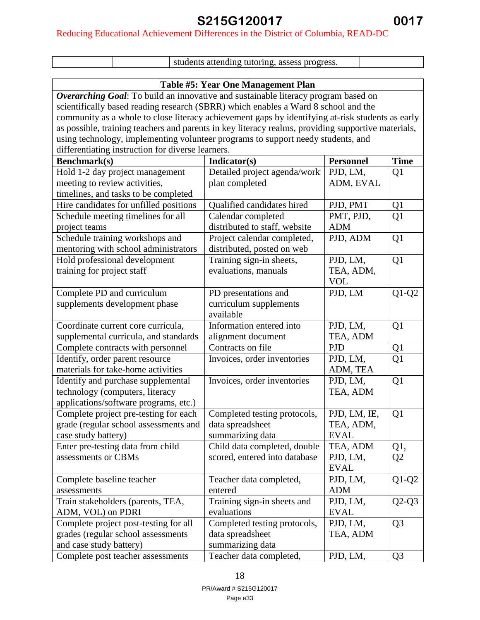# Reducing Educational Achievement Differences in the District of Columbia, READ-DC

| students attending tutoring, assess progress.                                                      |                                    |                  |                |
|----------------------------------------------------------------------------------------------------|------------------------------------|------------------|----------------|
|                                                                                                    |                                    |                  |                |
|                                                                                                    | Table #5: Year One Management Plan |                  |                |
| Overarching Goal: To build an innovative and sustainable literacy program based on                 |                                    |                  |                |
| scientifically based reading research (SBRR) which enables a Ward 8 school and the                 |                                    |                  |                |
| community as a whole to close literacy achievement gaps by identifying at-risk students as early   |                                    |                  |                |
| as possible, training teachers and parents in key literacy realms, providing supportive materials, |                                    |                  |                |
| using technology, implementing volunteer programs to support needy students, and                   |                                    |                  |                |
| differentiating instruction for diverse learners.                                                  |                                    |                  |                |
| Benchmark(s)                                                                                       | Indicator(s)                       | <b>Personnel</b> | <b>Time</b>    |
| Hold 1-2 day project management                                                                    | Detailed project agenda/work       | PJD, LM,         | Q <sub>1</sub> |
| meeting to review activities,                                                                      | plan completed                     | ADM, EVAL        |                |
| timelines, and tasks to be completed                                                               |                                    |                  |                |
| Hire candidates for unfilled positions                                                             | Qualified candidates hired         | PJD, PMT         | Q <sub>1</sub> |
| Schedule meeting timelines for all                                                                 | Calendar completed                 | PMT, PJD,        | Q1             |
| project teams                                                                                      | distributed to staff, website      | <b>ADM</b>       |                |
| Schedule training workshops and                                                                    | Project calendar completed,        | PJD, ADM         | Q <sub>1</sub> |
| mentoring with school administrators                                                               | distributed, posted on web         |                  |                |
| Hold professional development                                                                      | Training sign-in sheets,           | PJD, LM,         | Q1             |
| training for project staff                                                                         | evaluations, manuals               | TEA, ADM,        |                |
|                                                                                                    |                                    | <b>VOL</b>       |                |
| Complete PD and curriculum                                                                         | PD presentations and               | PJD, LM          | $Q1-Q2$        |
| supplements development phase                                                                      | curriculum supplements             |                  |                |
|                                                                                                    | available                          |                  |                |
| Coordinate current core curricula,                                                                 | Information entered into           | PJD, LM,         | Q <sub>1</sub> |
| supplemental curricula, and standards                                                              | alignment document                 | TEA, ADM         |                |
| Complete contracts with personnel                                                                  | Contracts on file                  | <b>PJD</b>       | Q1             |
| Identify, order parent resource                                                                    | Invoices, order inventories        | PJD, LM,         | Q <sub>1</sub> |
| materials for take-home activities                                                                 |                                    | ADM, TEA         |                |
| Identify and purchase supplemental                                                                 | Invoices, order inventories        | PJD, LM,         | Q <sub>1</sub> |
| technology (computers, literacy                                                                    |                                    | TEA, ADM         |                |
| applications/software programs, etc.)                                                              |                                    |                  |                |
| Complete project pre-testing for each                                                              | Completed testing protocols,       | PJD, LM, IE,     | Q <sub>1</sub> |
| grade (regular school assessments and                                                              | data spreadsheet                   | TEA, ADM,        |                |
| case study battery)                                                                                | summarizing data                   | <b>EVAL</b>      |                |
| Enter pre-testing data from child                                                                  | Child data completed, double       | TEA, ADM         | Q1,            |
| assessments or CBMs                                                                                | scored, entered into database      | PJD, LM,         | Q <sub>2</sub> |
|                                                                                                    |                                    | <b>EVAL</b>      |                |
| Complete baseline teacher                                                                          | Teacher data completed,            | PJD, LM,         | $Q1-Q2$        |
| assessments                                                                                        | entered                            | <b>ADM</b>       |                |
| Train stakeholders (parents, TEA,                                                                  | Training sign-in sheets and        | PJD, LM,         | $Q2-Q3$        |
| ADM, VOL) on PDRI                                                                                  | evaluations                        | <b>EVAL</b>      |                |
| Complete project post-testing for all                                                              | Completed testing protocols,       | PJD, LM,         | Q <sub>3</sub> |
| grades (regular school assessments                                                                 | data spreadsheet                   | TEA, ADM         |                |
| and case study battery)<br>summarizing data                                                        |                                    |                  |                |
| Complete post teacher assessments                                                                  | Teacher data completed,            | PJD, LM,         | Q <sub>3</sub> |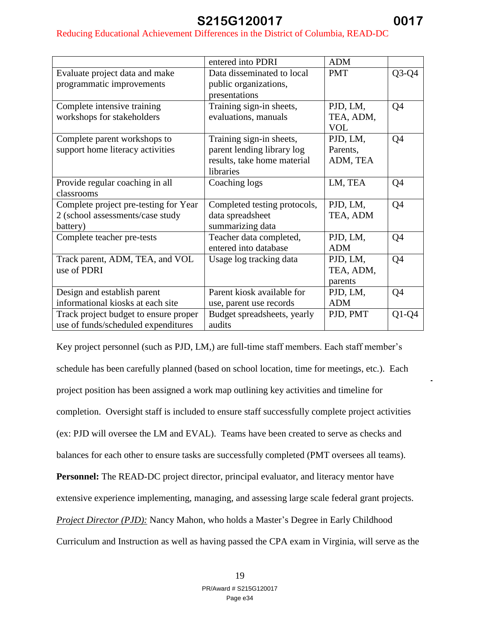### Reducing Educational Achievement Differences in the District of Columbia, READ-DC

|                                       | entered into PDRI            | <b>ADM</b> |                |
|---------------------------------------|------------------------------|------------|----------------|
| Evaluate project data and make        | Data disseminated to local   | <b>PMT</b> | $Q3-Q4$        |
| programmatic improvements             | public organizations,        |            |                |
|                                       | presentations                |            |                |
| Complete intensive training           | Training sign-in sheets,     | PJD, LM,   | Q <sub>4</sub> |
| workshops for stakeholders            | evaluations, manuals         | TEA, ADM,  |                |
|                                       |                              | <b>VOL</b> |                |
| Complete parent workshops to          | Training sign-in sheets,     | PJD, LM,   | Q4             |
| support home literacy activities      | parent lending library log   | Parents,   |                |
|                                       | results, take home material  | ADM, TEA   |                |
|                                       | libraries                    |            |                |
| Provide regular coaching in all       | Coaching logs                | LM, TEA    | Q4             |
| classrooms                            |                              |            |                |
| Complete project pre-testing for Year | Completed testing protocols, | PJD, LM,   | Q4             |
| 2 (school assessments/case study      | data spreadsheet             | TEA, ADM   |                |
| battery)                              | summarizing data             |            |                |
| Complete teacher pre-tests            | Teacher data completed,      | PJD, LM,   | Q <sub>4</sub> |
|                                       | entered into database        | <b>ADM</b> |                |
| Track parent, ADM, TEA, and VOL       | Usage log tracking data      | PJD, LM,   | Q4             |
| use of PDRI                           |                              | TEA, ADM,  |                |
|                                       |                              | parents    |                |
| Design and establish parent           | Parent kiosk available for   | PJD, LM,   | Q4             |
| informational kiosks at each site     | use, parent use records      | <b>ADM</b> |                |
| Track project budget to ensure proper | Budget spreadsheets, yearly  | PJD, PMT   | $Q1-Q4$        |
| use of funds/scheduled expenditures   | audits                       |            |                |

Key project personnel (such as PJD, LM,) are full-time staff members. Each staff member's schedule has been carefully planned (based on school location, time for meetings, etc.). Each project position has been assigned a work map outlining key activities and timeline for completion. Oversight staff is included to ensure staff successfully complete project activities (ex: PJD will oversee the LM and EVAL). Teams have been created to serve as checks and balances for each other to ensure tasks are successfully completed (PMT oversees all teams). **Personnel:** The READ-DC project director, principal evaluator, and literacy mentor have extensive experience implementing, managing, and assessing large scale federal grant projects. *Project Director (PJD):* Nancy Mahon, who holds a Master's Degree in Early Childhood Curriculum and Instruction as well as having passed the CPA exam in Virginia, will serve as the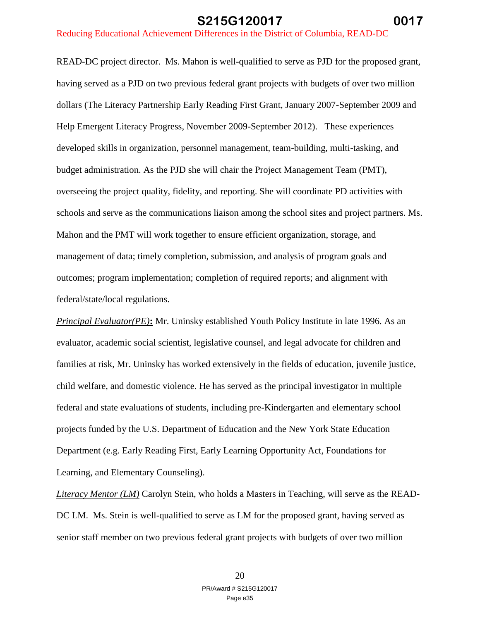READ-DC project director. Ms. Mahon is well-qualified to serve as PJD for the proposed grant, having served as a PJD on two previous federal grant projects with budgets of over two million dollars (The Literacy Partnership Early Reading First Grant, January 2007-September 2009 and Help Emergent Literacy Progress, November 2009-September 2012). These experiences developed skills in organization, personnel management, team-building, multi-tasking, and budget administration. As the PJD she will chair the Project Management Team (PMT), overseeing the project quality, fidelity, and reporting. She will coordinate PD activities with schools and serve as the communications liaison among the school sites and project partners. Ms. Mahon and the PMT will work together to ensure efficient organization, storage, and management of data; timely completion, submission, and analysis of program goals and outcomes; program implementation; completion of required reports; and alignment with federal/state/local regulations.

*Principal Evaluator(PE)***:** Mr. Uninsky established Youth Policy Institute in late 1996. As an evaluator, academic social scientist, legislative counsel, and legal advocate for children and families at risk, Mr. Uninsky has worked extensively in the fields of education, juvenile justice, child welfare, and domestic violence. He has served as the principal investigator in multiple federal and state evaluations of students, including pre-Kindergarten and elementary school projects funded by the U.S. Department of Education and the New York State Education Department (e.g. Early Reading First, Early Learning Opportunity Act, Foundations for Learning, and Elementary Counseling).

*Literacy Mentor (LM)* Carolyn Stein, who holds a Masters in Teaching, will serve as the READ-DC LM. Ms. Stein is well-qualified to serve as LM for the proposed grant, having served as senior staff member on two previous federal grant projects with budgets of over two million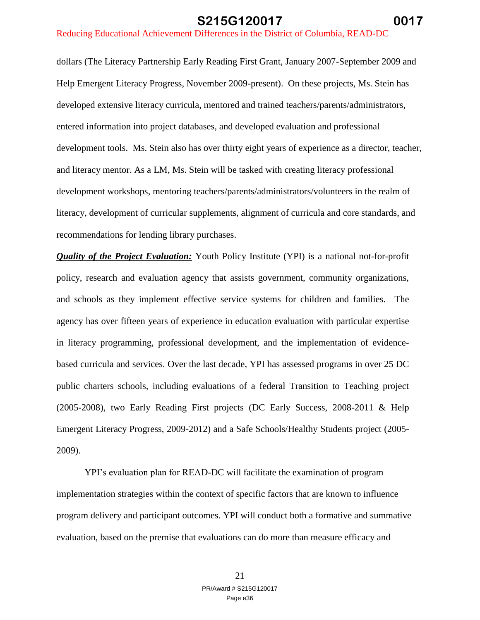dollars (The Literacy Partnership Early Reading First Grant, January 2007-September 2009 and Help Emergent Literacy Progress, November 2009-present). On these projects, Ms. Stein has developed extensive literacy curricula, mentored and trained teachers/parents/administrators, entered information into project databases, and developed evaluation and professional development tools. Ms. Stein also has over thirty eight years of experience as a director, teacher, and literacy mentor. As a LM, Ms. Stein will be tasked with creating literacy professional development workshops, mentoring teachers/parents/administrators/volunteers in the realm of literacy, development of curricular supplements, alignment of curricula and core standards, and recommendations for lending library purchases.

*Quality of the Project Evaluation:* Youth Policy Institute (YPI) is a national not-for-profit policy, research and evaluation agency that assists government, community organizations, and schools as they implement effective service systems for children and families. The agency has over fifteen years of experience in education evaluation with particular expertise in literacy programming, professional development, and the implementation of evidencebased curricula and services. Over the last decade, YPI has assessed programs in over 25 DC public charters schools, including evaluations of a federal Transition to Teaching project (2005-2008), two Early Reading First projects (DC Early Success, 2008-2011 & Help Emergent Literacy Progress, 2009-2012) and a Safe Schools/Healthy Students project (2005- 2009).

YPI's evaluation plan for READ-DC will facilitate the examination of program implementation strategies within the context of specific factors that are known to influence program delivery and participant outcomes. YPI will conduct both a formative and summative evaluation, based on the premise that evaluations can do more than measure efficacy and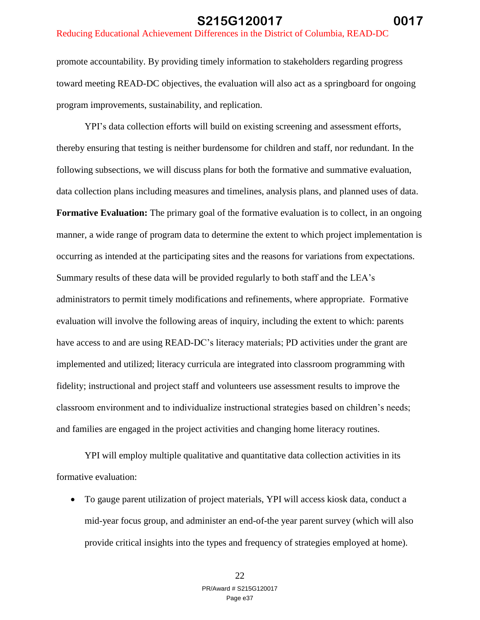#### Reducing Educational Achievement Differences in the District of Columbia, READ-DC

promote accountability. By providing timely information to stakeholders regarding progress toward meeting READ-DC objectives, the evaluation will also act as a springboard for ongoing program improvements, sustainability, and replication.

YPI's data collection efforts will build on existing screening and assessment efforts, thereby ensuring that testing is neither burdensome for children and staff, nor redundant. In the following subsections, we will discuss plans for both the formative and summative evaluation, data collection plans including measures and timelines, analysis plans, and planned uses of data. **Formative Evaluation:** The primary goal of the formative evaluation is to collect, in an ongoing manner, a wide range of program data to determine the extent to which project implementation is occurring as intended at the participating sites and the reasons for variations from expectations. Summary results of these data will be provided regularly to both staff and the LEA's administrators to permit timely modifications and refinements, where appropriate. Formative evaluation will involve the following areas of inquiry, including the extent to which: parents have access to and are using READ-DC's literacy materials; PD activities under the grant are implemented and utilized; literacy curricula are integrated into classroom programming with fidelity; instructional and project staff and volunteers use assessment results to improve the classroom environment and to individualize instructional strategies based on children's needs; and families are engaged in the project activities and changing home literacy routines.

YPI will employ multiple qualitative and quantitative data collection activities in its formative evaluation:

 To gauge parent utilization of project materials, YPI will access kiosk data, conduct a mid-year focus group, and administer an end-of-the year parent survey (which will also provide critical insights into the types and frequency of strategies employed at home).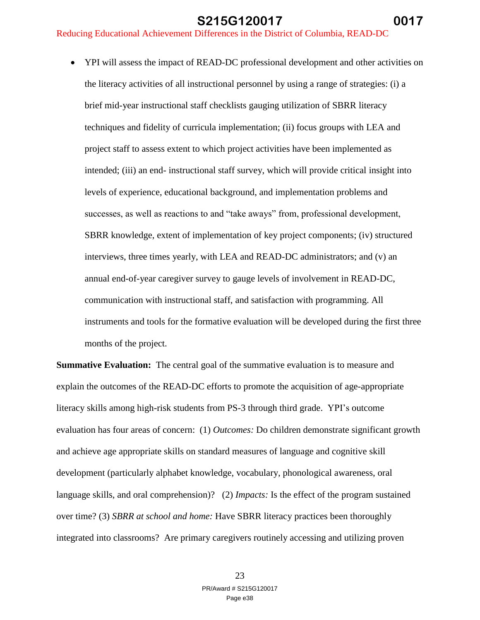• YPI will assess the impact of READ-DC professional development and other activities on the literacy activities of all instructional personnel by using a range of strategies: (i) a brief mid-year instructional staff checklists gauging utilization of SBRR literacy techniques and fidelity of curricula implementation; (ii) focus groups with LEA and project staff to assess extent to which project activities have been implemented as intended; (iii) an end- instructional staff survey, which will provide critical insight into levels of experience, educational background, and implementation problems and successes, as well as reactions to and "take aways" from, professional development, SBRR knowledge, extent of implementation of key project components; (iv) structured interviews, three times yearly, with LEA and READ-DC administrators; and (v) an annual end-of-year caregiver survey to gauge levels of involvement in READ-DC, communication with instructional staff, and satisfaction with programming. All instruments and tools for the formative evaluation will be developed during the first three months of the project.

**Summative Evaluation:** The central goal of the summative evaluation is to measure and explain the outcomes of the READ-DC efforts to promote the acquisition of age-appropriate literacy skills among high-risk students from PS-3 through third grade. YPI's outcome evaluation has four areas of concern: (1) *Outcomes:* Do children demonstrate significant growth and achieve age appropriate skills on standard measures of language and cognitive skill development (particularly alphabet knowledge, vocabulary, phonological awareness, oral language skills, and oral comprehension)? (2) *Impacts:* Is the effect of the program sustained over time? (3) *SBRR at school and home:* Have SBRR literacy practices been thoroughly integrated into classrooms? Are primary caregivers routinely accessing and utilizing proven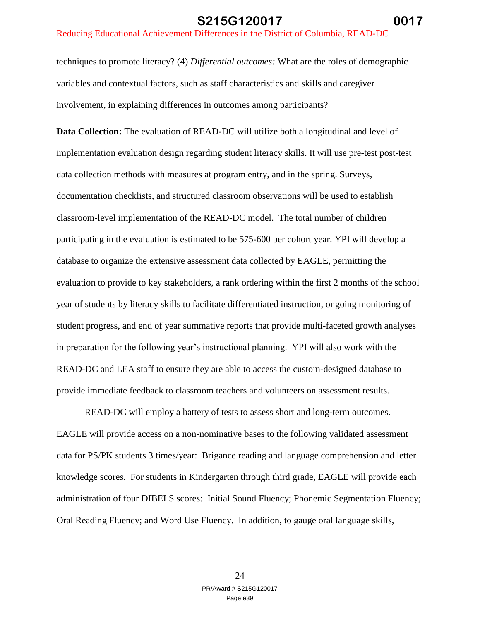techniques to promote literacy? (4) *Differential outcomes:* What are the roles of demographic variables and contextual factors, such as staff characteristics and skills and caregiver involvement, in explaining differences in outcomes among participants?

**Data Collection:** The evaluation of READ-DC will utilize both a longitudinal and level of implementation evaluation design regarding student literacy skills. It will use pre-test post-test data collection methods with measures at program entry, and in the spring. Surveys, documentation checklists, and structured classroom observations will be used to establish classroom-level implementation of the READ-DC model. The total number of children participating in the evaluation is estimated to be 575-600 per cohort year. YPI will develop a database to organize the extensive assessment data collected by EAGLE, permitting the evaluation to provide to key stakeholders, a rank ordering within the first 2 months of the school year of students by literacy skills to facilitate differentiated instruction, ongoing monitoring of student progress, and end of year summative reports that provide multi-faceted growth analyses in preparation for the following year's instructional planning. YPI will also work with the READ-DC and LEA staff to ensure they are able to access the custom-designed database to provide immediate feedback to classroom teachers and volunteers on assessment results.

READ-DC will employ a battery of tests to assess short and long-term outcomes. EAGLE will provide access on a non-nominative bases to the following validated assessment data for PS/PK students 3 times/year: Brigance reading and language comprehension and letter knowledge scores. For students in Kindergarten through third grade, EAGLE will provide each administration of four DIBELS scores: Initial Sound Fluency; Phonemic Segmentation Fluency; Oral Reading Fluency; and Word Use Fluency. In addition, to gauge oral language skills,